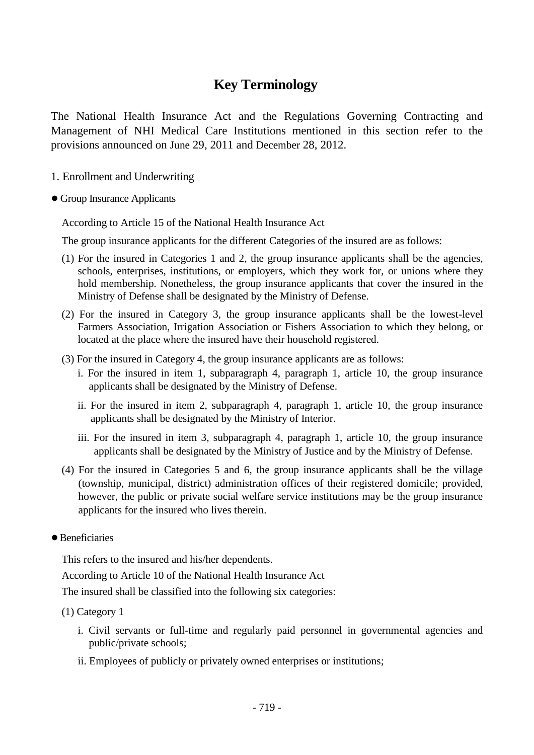# **Key Terminology**

The National Health Insurance Act and the Regulations Governing Contracting and Management of NHI Medical Care Institutions mentioned in this section refer to the provisions announced on June 29, 2011 and December 28, 2012.

- 1. Enrollment and Underwriting
- Group Insurance Applicants

According to Article 15 of the National Health Insurance Act

The group insurance applicants for the different Categories of the insured are as follows:

- (1) For the insured in Categories 1 and 2, the group insurance applicants shall be the agencies, schools, enterprises, institutions, or employers, which they work for, or unions where they hold membership. Nonetheless, the group insurance applicants that cover the insured in the Ministry of Defense shall be designated by the Ministry of Defense.
- (2) For the insured in Category 3, the group insurance applicants shall be the lowest-level Farmers Association, Irrigation Association or Fishers Association to which they belong, or located at the place where the insured have their household registered.
- (3) For the insured in Category 4, the group insurance applicants are as follows:
	- i. For the insured in item 1, subparagraph 4, paragraph 1, article 10, the group insurance applicants shall be designated by the Ministry of Defense.
	- ii. For the insured in item 2, subparagraph 4, paragraph 1, article 10, the group insurance applicants shall be designated by the Ministry of Interior.
	- iii. For the insured in item 3, subparagraph 4, paragraph 1, article 10, the group insurance applicants shall be designated by the Ministry of Justice and by the Ministry of Defense.
- (4) For the insured in Categories 5 and 6, the group insurance applicants shall be the village (township, municipal, district) administration offices of their registered domicile; provided, however, the public or private social welfare service institutions may be the group insurance applicants for the insured who lives therein.
- Beneficiaries

This refers to the insured and his/her dependents.

According to Article 10 of the National Health Insurance Act

The insured shall be classified into the following six categories:

(1) Category 1

- i. Civil servants or full-time and regularly paid personnel in governmental agencies and public/private schools;
- ii. Employees of publicly or privately owned enterprises or institutions;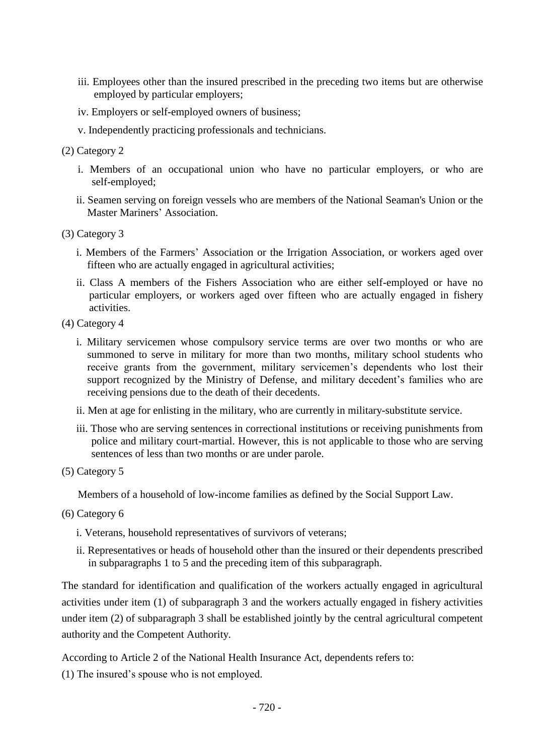- iii. Employees other than the insured prescribed in the preceding two items but are otherwise employed by particular employers;
- iv. Employers or self-employed owners of business;
- v. Independently practicing professionals and technicians.
- (2) Category 2
	- i. Members of an occupational union who have no particular employers, or who are self-employed;
	- ii. Seamen serving on foreign vessels who are members of the National Seaman's Union or the Master Mariners' Association.
- (3) Category 3
	- i. Members of the Farmers' Association or the Irrigation Association, or workers aged over fifteen who are actually engaged in agricultural activities;
	- ii. Class A members of the Fishers Association who are either self-employed or have no particular employers, or workers aged over fifteen who are actually engaged in fishery activities.
- (4) Category 4
	- i. Military servicemen whose compulsory service terms are over two months or who are summoned to serve in military for more than two months, military school students who receive grants from the government, military servicemen's dependents who lost their support recognized by the Ministry of Defense, and military decedent's families who are receiving pensions due to the death of their decedents.
	- ii. Men at age for enlisting in the military, who are currently in military-substitute service.
	- iii. Those who are serving sentences in correctional institutions or receiving punishments from police and military court-martial. However, this is not applicable to those who are serving sentences of less than two months or are under parole.
- (5) Category 5

Members of a household of low-income families as defined by the Social Support Law.

- (6) Category 6
	- i. Veterans, household representatives of survivors of veterans;
	- ii. Representatives or heads of household other than the insured or their dependents prescribed in subparagraphs 1 to 5 and the preceding item of this subparagraph.

The standard for identification and qualification of the workers actually engaged in agricultural activities under item (1) of subparagraph 3 and the workers actually engaged in fishery activities under item (2) of subparagraph 3 shall be established jointly by the central agricultural competent authority and the Competent Authority.

According to Article 2 of the National Health Insurance Act, dependents refers to:

(1) The insured's spouse who is not employed.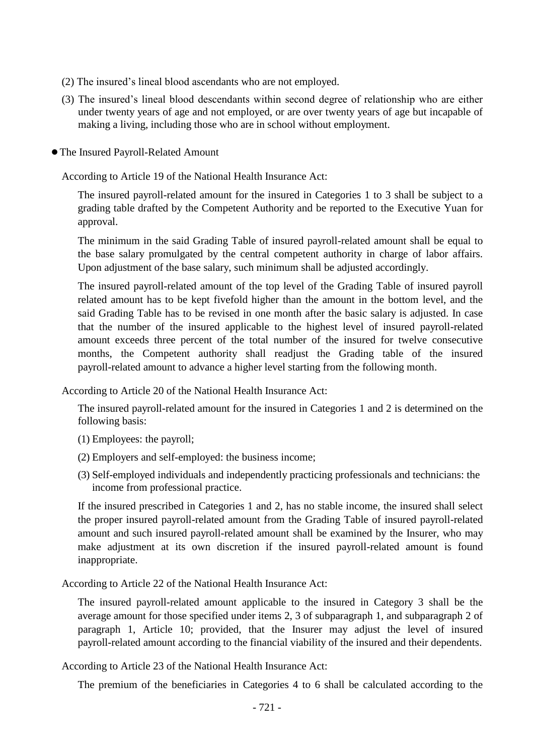- (2) The insured's lineal blood ascendants who are not employed.
- (3) The insured's lineal blood descendants within second degree of relationship who are either under twenty years of age and not employed, or are over twenty years of age but incapable of making a living, including those who are in school without employment.
- ●The Insured Payroll-Related Amount

According to Article 19 of the National Health Insurance Act:

The insured payroll-related amount for the insured in Categories 1 to 3 shall be subject to a grading table drafted by the Competent Authority and be reported to the Executive Yuan for approval.

The minimum in the said Grading Table of insured payroll-related amount shall be equal to the base salary promulgated by the central competent authority in charge of labor affairs. Upon adjustment of the base salary, such minimum shall be adjusted accordingly.

The insured payroll-related amount of the top level of the Grading Table of insured payroll related amount has to be kept fivefold higher than the amount in the bottom level, and the said Grading Table has to be revised in one month after the basic salary is adjusted. In case that the number of the insured applicable to the highest level of insured payroll-related amount exceeds three percent of the total number of the insured for twelve consecutive months, the Competent authority shall readjust the Grading table of the insured payroll-related amount to advance a higher level starting from the following month.

According to Article 20 of the National Health Insurance Act:

The insured payroll-related amount for the insured in Categories 1 and 2 is determined on the following basis:

- (1) Employees: the payroll;
- (2) Employers and self-employed: the business income;
- (3) Self-employed individuals and independently practicing professionals and technicians: the income from professional practice.

If the insured prescribed in Categories 1 and 2, has no stable income, the insured shall select the proper insured payroll-related amount from the Grading Table of insured payroll-related amount and such insured payroll-related amount shall be examined by the Insurer, who may make adjustment at its own discretion if the insured payroll-related amount is found inappropriate.

According to Article 22 of the National Health Insurance Act:

The insured payroll-related amount applicable to the insured in Category 3 shall be the average amount for those specified under items 2, 3 of subparagraph 1, and subparagraph 2 of paragraph 1, Article 10; provided, that the Insurer may adjust the level of insured payroll-related amount according to the financial viability of the insured and their dependents.

According to Article 23 of the National Health Insurance Act:

The premium of the beneficiaries in Categories 4 to 6 shall be calculated according to the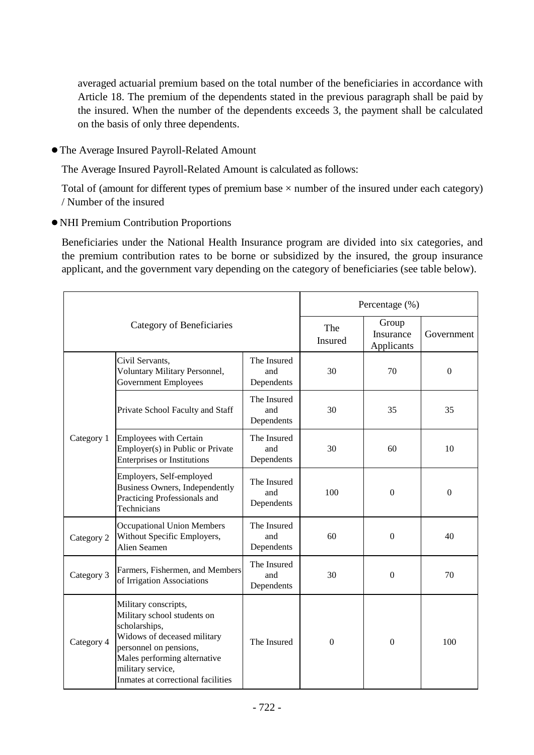averaged actuarial premium based on the total number of the beneficiaries in accordance with Article 18. The premium of the dependents stated in the previous paragraph shall be paid by the insured. When the number of the dependents exceeds 3, the payment shall be calculated on the basis of only three dependents.

●The Average Insured Payroll-Related Amount

The Average Insured Payroll-Related Amount is calculated as follows:

Total of (amount for different types of premium base  $\times$  number of the insured under each category) / Number of the insured

●NHI Premium Contribution Proportions

Beneficiaries under the National Health Insurance program are divided into six categories, and the premium contribution rates to be borne or subsidized by the insured, the group insurance applicant, and the government vary depending on the category of beneficiaries (see table below).

| Category of Beneficiaries |                                                                                                                                                                                                                          |                                  | Percentage (%)   |                                  |            |  |
|---------------------------|--------------------------------------------------------------------------------------------------------------------------------------------------------------------------------------------------------------------------|----------------------------------|------------------|----------------------------------|------------|--|
|                           |                                                                                                                                                                                                                          |                                  | The<br>Insured   | Group<br>Insurance<br>Applicants | Government |  |
| Category 1                | Civil Servants,<br>Voluntary Military Personnel,<br><b>Government Employees</b>                                                                                                                                          | The Insured<br>and<br>Dependents | 30               | 70                               | $\Omega$   |  |
|                           | Private School Faculty and Staff                                                                                                                                                                                         | The Insured<br>and<br>Dependents | 30               | 35                               | 35         |  |
|                           | <b>Employees with Certain</b><br>Employer(s) in Public or Private<br><b>Enterprises or Institutions</b>                                                                                                                  | The Insured<br>and<br>Dependents | 30               | 60                               | 10         |  |
|                           | Employers, Self-employed<br>Business Owners, Independently<br>Practicing Professionals and<br>Technicians                                                                                                                | The Insured<br>and<br>Dependents | 100              | $\Omega$                         | $\Omega$   |  |
| Category 2                | <b>Occupational Union Members</b><br>Without Specific Employers,<br><b>Alien Seamen</b>                                                                                                                                  | The Insured<br>and<br>Dependents | 60               | $\theta$                         | 40         |  |
| Category 3                | Farmers, Fishermen, and Members<br>of Irrigation Associations                                                                                                                                                            | The Insured<br>and<br>Dependents | 30               | $\overline{0}$                   | 70         |  |
| Category 4                | Military conscripts,<br>Military school students on<br>scholarships,<br>Widows of deceased military<br>personnel on pensions,<br>Males performing alternative<br>military service,<br>Inmates at correctional facilities | The Insured                      | $\boldsymbol{0}$ | $\overline{0}$                   | 100        |  |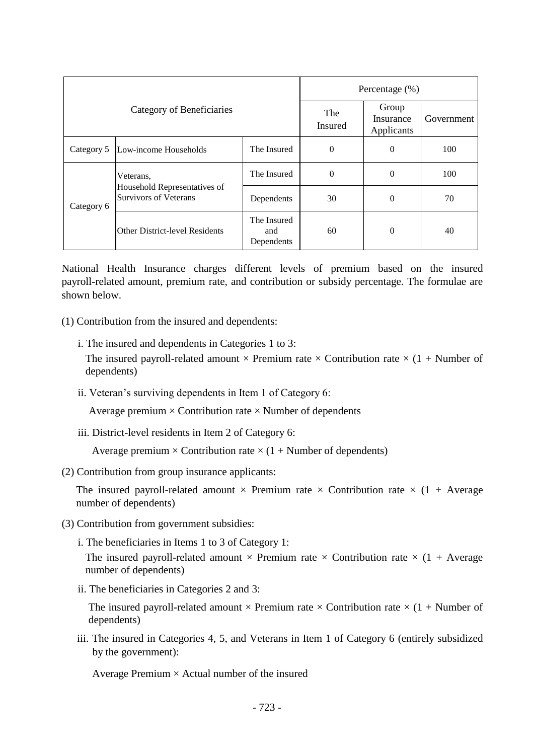| Category of Beneficiaries |                                                                           |                                  | Percentage $(\%)$ |                                  |            |  |
|---------------------------|---------------------------------------------------------------------------|----------------------------------|-------------------|----------------------------------|------------|--|
|                           |                                                                           |                                  | The<br>Insured    | Group<br>Insurance<br>Applicants | Government |  |
| Category 5                | Low-income Households                                                     | The Insured                      | $\overline{0}$    | $\theta$                         | 100        |  |
| Category 6                | Veterans,<br>Household Representatives of<br><b>Survivors of Veterans</b> | The Insured                      | $\overline{0}$    | $\Omega$                         | 100        |  |
|                           |                                                                           | Dependents                       | 30                | $\theta$                         | 70         |  |
|                           | Other District-level Residents                                            | The Insured<br>and<br>Dependents | 60                | $\theta$                         | 40         |  |

National Health Insurance charges different levels of premium based on the insured payroll-related amount, premium rate, and contribution or subsidy percentage. The formulae are shown below.

(1) Contribution from the insured and dependents:

- i. The insured and dependents in Categories 1 to 3:
	- The insured payroll-related amount  $\times$  Premium rate  $\times$  Contribution rate  $\times$  (1 + Number of dependents)
- ii. Veteran's surviving dependents in Item 1 of Category 6:

Average premium  $\times$  Contribution rate  $\times$  Number of dependents

iii. District-level residents in Item 2 of Category 6:

Average premium  $\times$  Contribution rate  $\times$  (1 + Number of dependents)

(2) Contribution from group insurance applicants:

The insured payroll-related amount  $\times$  Premium rate  $\times$  Contribution rate  $\times$  (1 + Average number of dependents)

- (3) Contribution from government subsidies:
	- i. The beneficiaries in Items 1 to 3 of Category 1:

The insured payroll-related amount  $\times$  Premium rate  $\times$  Contribution rate  $\times$  (1 + Average number of dependents)

ii. The beneficiaries in Categories 2 and 3:

The insured payroll-related amount  $\times$  Premium rate  $\times$  Contribution rate  $\times$  (1 + Number of dependents)

iii. The insured in Categories 4, 5, and Veterans in Item 1 of Category 6 (entirely subsidized by the government):

Average Premium  $\times$  Actual number of the insured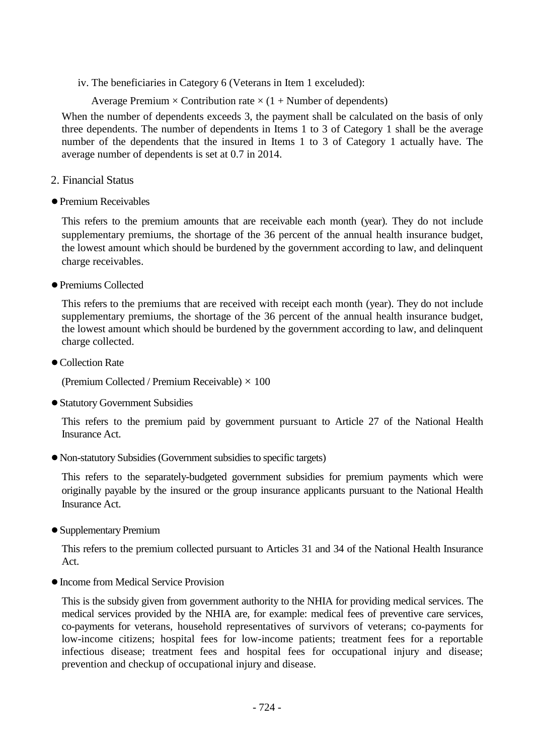iv. The beneficiaries in Category 6 (Veterans in Item 1 exceluded):

Average Premium  $\times$  Contribution rate  $\times$  (1 + Number of dependents)

When the number of dependents exceeds 3, the payment shall be calculated on the basis of only three dependents. The number of dependents in Items 1 to 3 of Category 1 shall be the average number of the dependents that the insured in Items 1 to 3 of Category 1 actually have. The average number of dependents is set at 0.7 in 2014.

- 2. Financial Status
- ●Premium Receivables

This refers to the premium amounts that are receivable each month (year). They do not include supplementary premiums, the shortage of the 36 percent of the annual health insurance budget, the lowest amount which should be burdened by the government according to law, and delinquent charge receivables.

●Premiums Collected

This refers to the premiums that are received with receipt each month (year). They do not include supplementary premiums, the shortage of the 36 percent of the annual health insurance budget, the lowest amount which should be burdened by the government according to law, and delinquent charge collected.

● Collection Rate

(Premium Collected / Premium Receivable)  $\times$  100

●Statutory Government Subsidies

This refers to the premium paid by government pursuant to Article 27 of the National Health Insurance Act.

●Non-statutory Subsidies (Government subsidies to specific targets)

This refers to the separately-budgeted government subsidies for premium payments which were originally payable by the insured or the group insurance applicants pursuant to the National Health Insurance Act.

●Supplementary Premium

This refers to the premium collected pursuant to Articles 31 and 34 of the National Health Insurance Act.

●Income from Medical Service Provision

This is the subsidy given from government authority to the NHIA for providing medical services. The medical services provided by the NHIA are, for example: medical fees of preventive care services, co-payments for veterans, household representatives of survivors of veterans; co-payments for low-income citizens; hospital fees for low-income patients; treatment fees for a reportable infectious disease; treatment fees and hospital fees for occupational injury and disease; prevention and checkup of occupational injury and disease.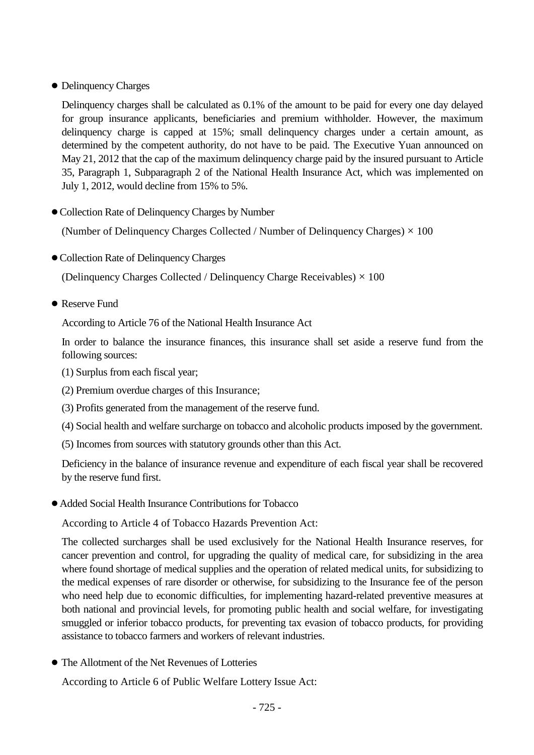## ● Delinquency Charges

Delinquency charges shall be calculated as 0.1% of the amount to be paid for every one day delayed for group insurance applicants, beneficiaries and premium withholder. However, the maximum delinquency charge is capped at 15%; small delinquency charges under a certain amount, as determined by the competent authority, do not have to be paid. The Executive Yuan announced on May 21, 2012 that the cap of the maximum delinquency charge paid by the insured pursuant to Article 35, Paragraph 1, Subparagraph 2 of the National Health Insurance Act, which was implemented on July 1, 2012, would decline from 15% to 5%.

## ●Collection Rate of Delinquency Charges by Number

(Number of Delinquency Charges Collected / Number of Delinquency Charges)  $\times$  100

●Collection Rate of Delinquency Charges

(Delinquency Charges Collected / Delinquency Charge Receivables)  $\times$  100

● Reserve Fund

According to Article 76 of the National Health Insurance Act

In order to balance the insurance finances, this insurance shall set aside a reserve fund from the following sources:

- (1) Surplus from each fiscal year;
- (2) Premium overdue charges of this Insurance;
- (3) Profits generated from the management of the reserve fund.
- (4) Social health and welfare surcharge on tobacco and alcoholic products imposed by the government.
- (5) Incomes from sources with statutory grounds other than this Act.

Deficiency in the balance of insurance revenue and expenditure of each fiscal year shall be recovered by the reserve fund first.

●Added Social Health Insurance Contributions for Tobacco

According to Article 4 of Tobacco Hazards Prevention Act:

The collected surcharges shall be used exclusively for the National Health Insurance reserves, for cancer prevention and control, for upgrading the quality of medical care, for subsidizing in the area where found shortage of medical supplies and the operation of related medical units, for subsidizing to the medical expenses of rare disorder or otherwise, for subsidizing to the Insurance fee of the person who need help due to economic difficulties, for implementing hazard-related preventive measures at both national and provincial levels, for promoting public health and social welfare, for investigating smuggled or inferior tobacco products, for preventing tax evasion of tobacco products, for providing assistance to tobacco farmers and workers of relevant industries.

● The Allotment of the Net Revenues of Lotteries

According to Article 6 of Public Welfare Lottery Issue Act: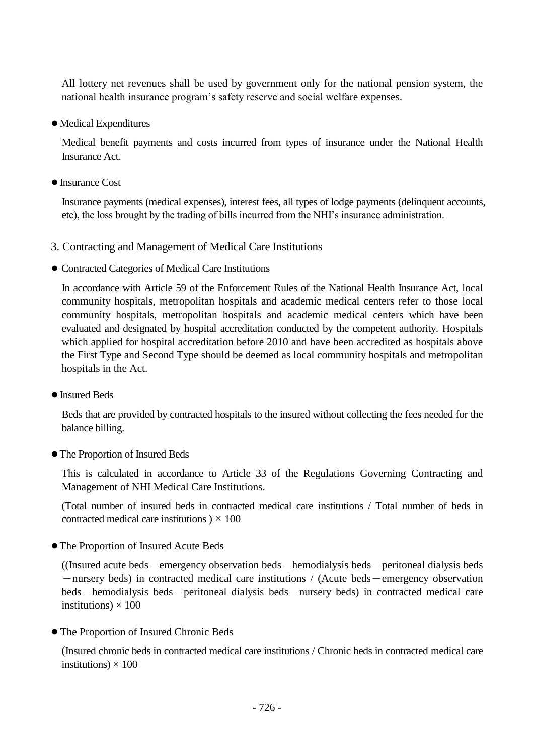All lottery net revenues shall be used by government only for the national pension system, the national health insurance program's safety reserve and social welfare expenses.

●Medical Expenditures

Medical benefit payments and costs incurred from types of insurance under the National Health Insurance Act.

●Insurance Cost

Insurance payments (medical expenses), interest fees, all types of lodge payments (delinquent accounts, etc), the loss brought by the trading of bills incurred from the NHI's insurance administration.

- 3. Contracting and Management of Medical Care Institutions
- Contracted Categories of Medical Care Institutions

In accordance with Article 59 of the Enforcement Rules of the National Health Insurance Act, local community hospitals, metropolitan hospitals and academic medical centers refer to those local community hospitals, metropolitan hospitals and academic medical centers which have been evaluated and designated by hospital accreditation conducted by the competent authority. Hospitals which applied for hospital accreditation before 2010 and have been accredited as hospitals above the First Type and Second Type should be deemed as local community hospitals and metropolitan hospitals in the Act.

●Insured Beds

Beds that are provided by contracted hospitals to the insured without collecting the fees needed for the balance billing.

●The Proportion of Insured Beds

This is calculated in accordance to Article 33 of the Regulations Governing Contracting and Management of NHI Medical Care Institutions.

(Total number of insured beds in contracted medical care institutions / Total number of beds in contracted medical care institutions  $) \times 100$ 

●The Proportion of Insured Acute Beds

 $($ (Insured acute beds — emergency observation beds — hemodialysis beds — peritoneal dialysis beds -nursery beds) in contracted medical care institutions / (Acute beds-emergency observation beds-hemodialysis beds-peritoneal dialysis beds-nursery beds) in contracted medical care institutions)  $\times$  100

● The Proportion of Insured Chronic Beds

(Insured chronic beds in contracted medical care institutions / Chronic beds in contracted medical care institutions)  $\times$  100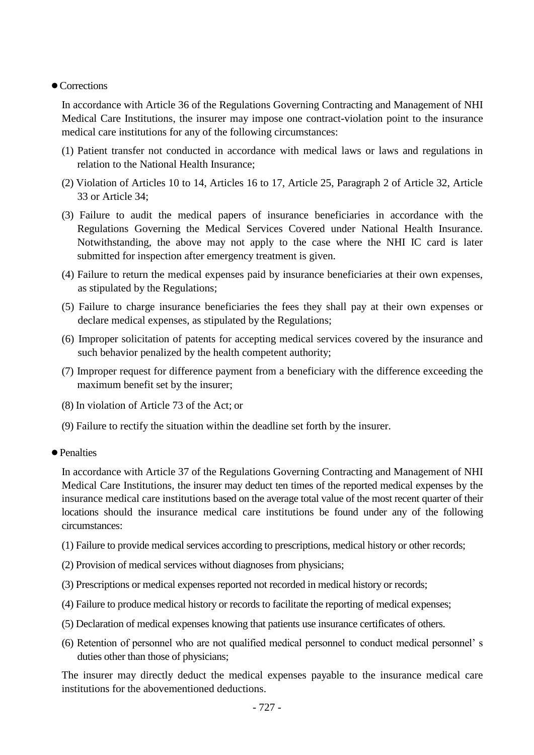#### ● Corrections

In accordance with Article 36 of the Regulations Governing Contracting and Management of NHI Medical Care Institutions, the insurer may impose one contract-violation point to the insurance medical care institutions for any of the following circumstances:

- (1) Patient transfer not conducted in accordance with medical laws or laws and regulations in relation to the National Health Insurance;
- (2) Violation of Articles 10 to 14, Articles 16 to 17, Article 25, Paragraph 2 of Article 32, Article 33 or Article 34;
- (3) Failure to audit the medical papers of insurance beneficiaries in accordance with the Regulations Governing the Medical Services Covered under National Health Insurance. Notwithstanding, the above may not apply to the case where the NHI IC card is later submitted for inspection after emergency treatment is given.
- (4) Failure to return the medical expenses paid by insurance beneficiaries at their own expenses, as stipulated by the Regulations;
- (5) Failure to charge insurance beneficiaries the fees they shall pay at their own expenses or declare medical expenses, as stipulated by the Regulations;
- (6) Improper solicitation of patents for accepting medical services covered by the insurance and such behavior penalized by the health competent authority;
- (7) Improper request for difference payment from a beneficiary with the difference exceeding the maximum benefit set by the insurer;
- (8) In violation of Article 73 of the Act; or
- (9) Failure to rectify the situation within the deadline set forth by the insurer.
- Penalties

In accordance with Article 37 of the Regulations Governing Contracting and Management of NHI Medical Care Institutions, the insurer may deduct ten times of the reported medical expenses by the insurance medical care institutions based on the average total value of the most recent quarter of their locations should the insurance medical care institutions be found under any of the following circumstances:

- (1) Failure to provide medical services according to prescriptions, medical history or other records;
- (2) Provision of medical services without diagnoses from physicians;
- (3) Prescriptions or medical expenses reported not recorded in medical history or records;
- (4) Failure to produce medical history or records to facilitate the reporting of medical expenses;
- (5) Declaration of medical expenses knowing that patients use insurance certificates of others.
- (6) Retention of personnel who are not qualified medical personnel to conduct medical personnel' s duties other than those of physicians;

The insurer may directly deduct the medical expenses payable to the insurance medical care institutions for the abovementioned deductions.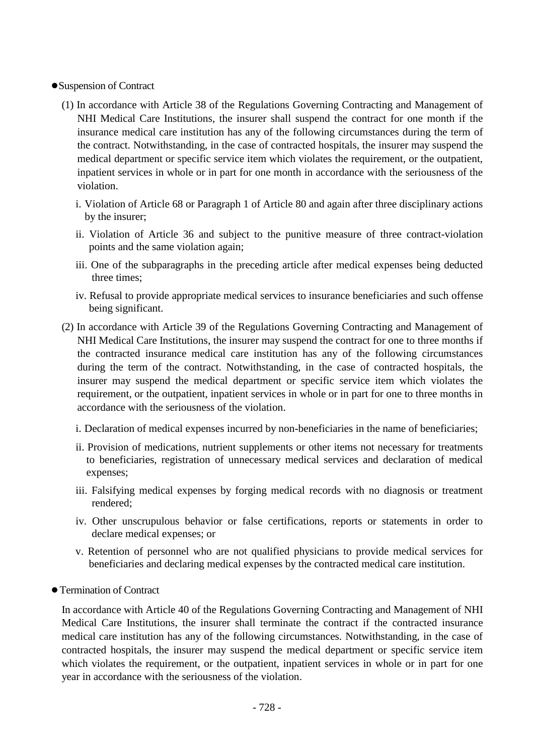#### ●Suspension of Contract

- (1) In accordance with Article 38 of the Regulations Governing Contracting and Management of NHI Medical Care Institutions, the insurer shall suspend the contract for one month if the insurance medical care institution has any of the following circumstances during the term of the contract. Notwithstanding, in the case of contracted hospitals, the insurer may suspend the medical department or specific service item which violates the requirement, or the outpatient, inpatient services in whole or in part for one month in accordance with the seriousness of the violation.
	- i. Violation of Article 68 or Paragraph 1 of Article 80 and again after three disciplinary actions by the insurer;
	- ii. Violation of Article 36 and subject to the punitive measure of three contract-violation points and the same violation again;
	- iii. One of the subparagraphs in the preceding article after medical expenses being deducted three times;
	- iv. Refusal to provide appropriate medical services to insurance beneficiaries and such offense being significant.
- (2) In accordance with Article 39 of the Regulations Governing Contracting and Management of NHI Medical Care Institutions, the insurer may suspend the contract for one to three months if the contracted insurance medical care institution has any of the following circumstances during the term of the contract. Notwithstanding, in the case of contracted hospitals, the insurer may suspend the medical department or specific service item which violates the requirement, or the outpatient, inpatient services in whole or in part for one to three months in accordance with the seriousness of the violation.
	- i. Declaration of medical expenses incurred by non-beneficiaries in the name of beneficiaries;
	- ii. Provision of medications, nutrient supplements or other items not necessary for treatments to beneficiaries, registration of unnecessary medical services and declaration of medical expenses;
	- iii. Falsifying medical expenses by forging medical records with no diagnosis or treatment rendered;
	- iv. Other unscrupulous behavior or false certifications, reports or statements in order to declare medical expenses; or
	- v. Retention of personnel who are not qualified physicians to provide medical services for beneficiaries and declaring medical expenses by the contracted medical care institution.
- ●Termination of Contract

In accordance with Article 40 of the Regulations Governing Contracting and Management of NHI Medical Care Institutions, the insurer shall terminate the contract if the contracted insurance medical care institution has any of the following circumstances. Notwithstanding, in the case of contracted hospitals, the insurer may suspend the medical department or specific service item which violates the requirement, or the outpatient, inpatient services in whole or in part for one year in accordance with the seriousness of the violation.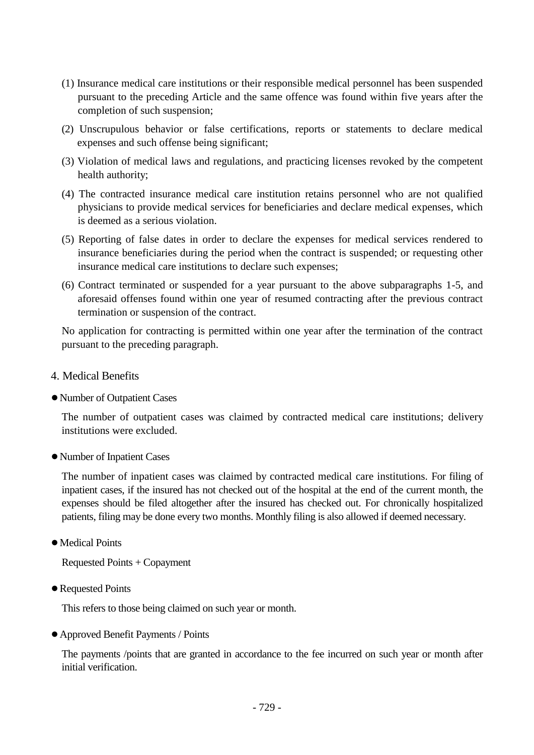- (1) Insurance medical care institutions or their responsible medical personnel has been suspended pursuant to the preceding Article and the same offence was found within five years after the completion of such suspension;
- (2) Unscrupulous behavior or false certifications, reports or statements to declare medical expenses and such offense being significant;
- (3) Violation of medical laws and regulations, and practicing licenses revoked by the competent health authority;
- (4) The contracted insurance medical care institution retains personnel who are not qualified physicians to provide medical services for beneficiaries and declare medical expenses, which is deemed as a serious violation.
- (5) Reporting of false dates in order to declare the expenses for medical services rendered to insurance beneficiaries during the period when the contract is suspended; or requesting other insurance medical care institutions to declare such expenses;
- (6) Contract terminated or suspended for a year pursuant to the above subparagraphs 1-5, and aforesaid offenses found within one year of resumed contracting after the previous contract termination or suspension of the contract.

No application for contracting is permitted within one year after the termination of the contract pursuant to the preceding paragraph.

- 4. Medical Benefits
- ●Number of Outpatient Cases

The number of outpatient cases was claimed by contracted medical care institutions; delivery institutions were excluded.

●Number of Inpatient Cases

The number of inpatient cases was claimed by contracted medical care institutions. For filing of inpatient cases, if the insured has not checked out of the hospital at the end of the current month, the expenses should be filed altogether after the insured has checked out. For chronically hospitalized patients, filing may be done every two months. Monthly filing is also allowed if deemed necessary.

●Medical Points

Requested Points + Copayment

●Requested Points

This refers to those being claimed on such year or month.

●Approved Benefit Payments / Points

The payments /points that are granted in accordance to the fee incurred on such year or month after initial verification.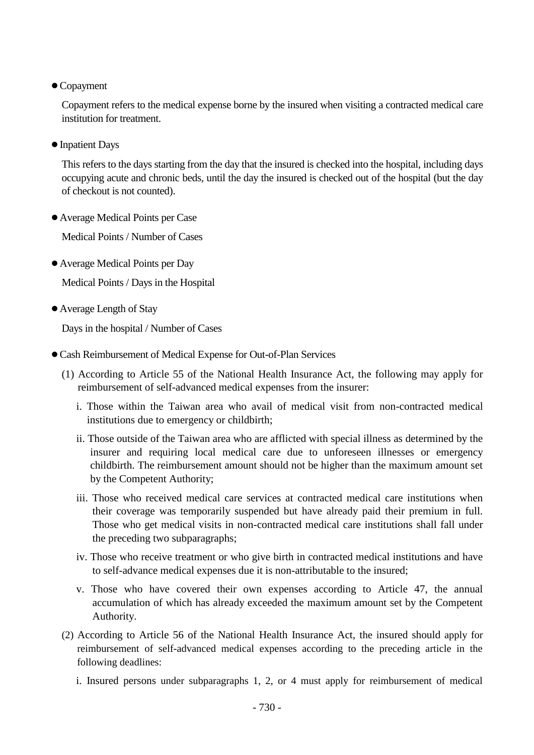●Copayment

Copayment refers to the medical expense borne by the insured when visiting a contracted medical care institution for treatment.

●Inpatient Days

This refers to the days starting from the day that the insured is checked into the hospital, including days occupying acute and chronic beds, until the day the insured is checked out of the hospital (but the day of checkout is not counted).

●Average Medical Points per Case

Medical Points / Number of Cases

●Average Medical Points per Day

Medical Points / Days in the Hospital

●Average Length of Stay

Days in the hospital / Number of Cases

- ●Cash Reimbursement of Medical Expense for Out-of-Plan Services
	- (1) According to Article 55 of the National Health Insurance Act, the following may apply for reimbursement of self-advanced medical expenses from the insurer:
		- i. Those within the Taiwan area who avail of medical visit from non-contracted medical institutions due to emergency or childbirth;
		- ii. Those outside of the Taiwan area who are afflicted with special illness as determined by the insurer and requiring local medical care due to unforeseen illnesses or emergency childbirth. The reimbursement amount should not be higher than the maximum amount set by the Competent Authority;
		- iii. Those who received medical care services at contracted medical care institutions when their coverage was temporarily suspended but have already paid their premium in full. Those who get medical visits in non-contracted medical care institutions shall fall under the preceding two subparagraphs;
		- iv. Those who receive treatment or who give birth in contracted medical institutions and have to self-advance medical expenses due it is non-attributable to the insured;
		- v. Those who have covered their own expenses according to Article 47, the annual accumulation of which has already exceeded the maximum amount set by the Competent Authority.
	- (2) According to Article 56 of the National Health Insurance Act, the insured should apply for reimbursement of self-advanced medical expenses according to the preceding article in the following deadlines:
		- i. Insured persons under subparagraphs 1, 2, or 4 must apply for reimbursement of medical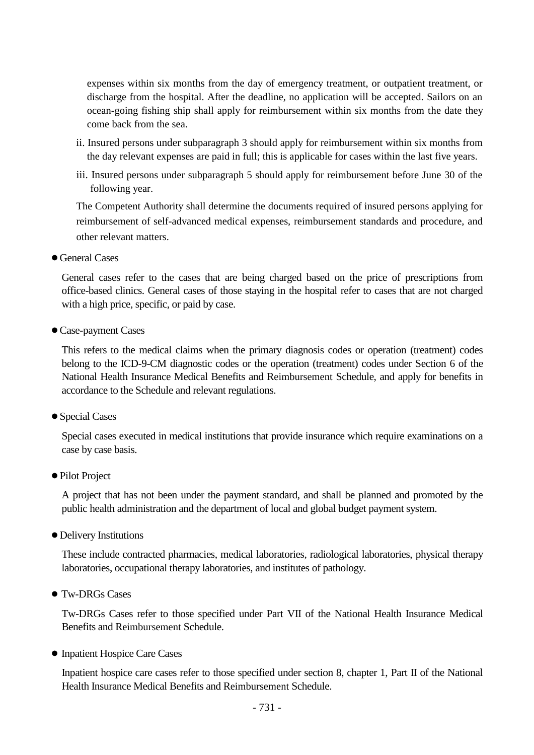expenses within six months from the day of emergency treatment, or outpatient treatment, or discharge from the hospital. After the deadline, no application will be accepted. Sailors on an ocean-going fishing ship shall apply for reimbursement within six months from the date they come back from the sea.

- ii. Insured persons under subparagraph 3 should apply for reimbursement within six months from the day relevant expenses are paid in full; this is applicable for cases within the last five years.
- iii. Insured persons under subparagraph 5 should apply for reimbursement before June 30 of the following year.

The Competent Authority shall determine the documents required of insured persons applying for reimbursement of self-advanced medical expenses, reimbursement standards and procedure, and other relevant matters.

● General Cases

General cases refer to the cases that are being charged based on the price of prescriptions from office-based clinics. General cases of those staying in the hospital refer to cases that are not charged with a high price, specific, or paid by case.

●Case-payment Cases

This refers to the medical claims when the primary diagnosis codes or operation (treatment) codes belong to the ICD-9-CM diagnostic codes or the operation (treatment) codes under Section 6 of the National Health Insurance Medical Benefits and Reimbursement Schedule, and apply for benefits in accordance to the Schedule and relevant regulations.

●Special Cases

Special cases executed in medical institutions that provide insurance which require examinations on a case by case basis.

● Pilot Project

A project that has not been under the payment standard, and shall be planned and promoted by the public health administration and the department of local and global budget payment system.

●Delivery Institutions

These include contracted pharmacies, medical laboratories, radiological laboratories, physical therapy laboratories, occupational therapy laboratories, and institutes of pathology.

● Tw-DRGs Cases

Tw-DRGs Cases refer to those specified under Part VII of the National Health Insurance Medical Benefits and Reimbursement Schedule.

● Inpatient Hospice Care Cases

Inpatient hospice care cases refer to those specified under section 8, chapter 1, Part II of the National Health Insurance Medical Benefits and Reimbursement Schedule.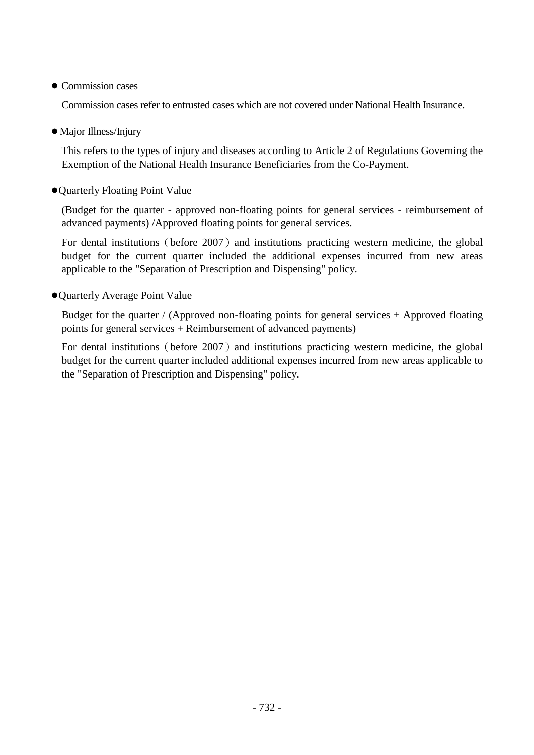● Commission cases

Commission cases refer to entrusted cases which are not covered under National Health Insurance.

●Major Illness/Injury

This refers to the types of injury and diseases according to Article 2 of Regulations Governing the Exemption of the National Health Insurance Beneficiaries from the Co-Payment.

●Quarterly Floating Point Value

(Budget for the quarter - approved non-floating points for general services - reimbursement of advanced payments) /Approved floating points for general services.

For dental institutions (before 2007) and institutions practicing western medicine, the global budget for the current quarter included the additional expenses incurred from new areas applicable to the "Separation of Prescription and Dispensing" policy.

●Quarterly Average Point Value

Budget for the quarter / (Approved non-floating points for general services + Approved floating points for general services + Reimbursement of advanced payments)

For dental institutions (before 2007) and institutions practicing western medicine, the global budget for the current quarter included additional expenses incurred from new areas applicable to the "Separation of Prescription and Dispensing" policy.